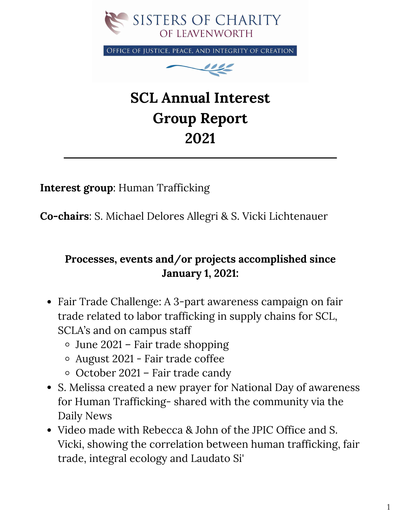

OFFICE OF JUSTICE, PEACE, AND INTEGRITY OF CREATION



## **SCL Annual Interest Group Report 2021**

**Interest group**: Human Trafficking

**Co-chairs**: S. Michael Delores Allegri & S. Vicki Lichtenauer

## **Processes, events and/or projects accomplished since January 1, 2021:**

- Fair Trade Challenge: A 3-part awareness campaign on fair trade related to labor trafficking in supply chains for SCL, SCLA's and on campus staff
	- June 2021 Fair trade shopping
	- August 2021 Fair trade coffee
	- $\circ$  October 2021 Fair trade candy
- S. Melissa created a new prayer for National Day of awareness for Human Trafficking- shared with the community via the Daily News
- Video made with Rebecca & John of the JPIC Office and S. Vicki, showing the correlation between human trafficking, fair trade, integral ecology and Laudato Si'